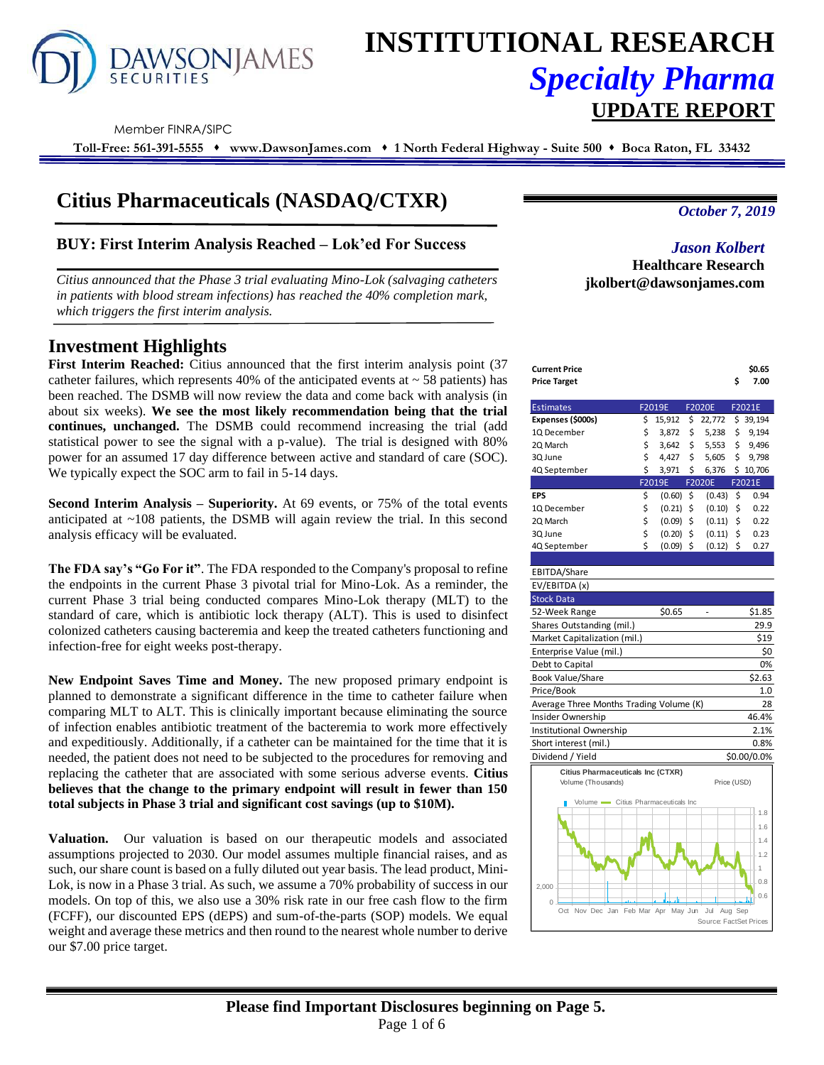

# **INSTITUTIONAL RESEARCH** *Specialty Pharma*  **UPDATE REPORT**

Member FINRA/SIPC

**Toll-Free: 561-391-5555** ⬧ **www.DawsonJames.com** ⬧ **1 North Federal Highway - Suite 500** ⬧ **Boca Raton, FL 33432**

# **Citius Pharmaceuticals (NASDAQ/CTXR)**

# **BUY: First Interim Analysis Reached – Lok'ed For Success**

*Citius announced that the Phase 3 trial evaluating Mino-Lok (salvaging catheters in patients with blood stream infections) has reached the 40% completion mark, which triggers the first interim analysis.*

# **Investment Highlights**

First Interim Reached: Citius announced that the first interim analysis point (37) catheter failures, which represents 40% of the anticipated events at  $\sim$  58 patients) has been reached. The DSMB will now review the data and come back with analysis (in about six weeks). **We see the most likely recommendation being that the trial continues, unchanged.** The DSMB could recommend increasing the trial (add statistical power to see the signal with a p-value). The trial is designed with 80% power for an assumed 17 day difference between active and standard of care (SOC). We typically expect the SOC arm to fail in 5-14 days.

**Second Interim Analysis – Superiority.** At 69 events, or 75% of the total events anticipated at  $\sim$ 108 patients, the DSMB will again review the trial. In this second analysis efficacy will be evaluated.

**The FDA say's "Go For it"**. The FDA responded to the Company's proposal to refine the endpoints in the current Phase 3 pivotal trial for Mino-Lok. As a reminder, the current Phase 3 trial being conducted compares Mino-Lok therapy (MLT) to the standard of care, which is antibiotic lock therapy (ALT). This is used to disinfect colonized catheters causing bacteremia and keep the treated catheters functioning and infection-free for eight weeks post-therapy.

**New Endpoint Saves Time and Money.** The new proposed primary endpoint is planned to demonstrate a significant difference in the time to catheter failure when comparing MLT to ALT. This is clinically important because eliminating the source of infection enables antibiotic treatment of the bacteremia to work more effectively and expeditiously. Additionally, if a catheter can be maintained for the time that it is needed, the patient does not need to be subjected to the procedures for removing and replacing the catheter that are associated with some serious adverse events. **Citius believes that the change to the primary endpoint will result in fewer than 150 total subjects in Phase 3 trial and significant cost savings (up to \$10M).** 

**Valuation.** Our valuation is based on our therapeutic models and associated assumptions projected to 2030. Our model assumes multiple financial raises, and as such, our share count is based on a fully diluted out year basis. The lead product, Mini-Lok, is now in a Phase 3 trial. As such, we assume a 70% probability of success in our models. On top of this, we also use a 30% risk rate in our free cash flow to the firm (FCFF), our discounted EPS (dEPS) and sum-of-the-parts (SOP) models. We equal weight and average these metrics and then round to the nearest whole number to derive our \$7.00 price target.

*October 7, 2019*

*Jason Kolbert* **Healthcare Research jkolbert@dawsonjames.com**

| Current Price | \$0.65 |
|---------------|--------|
| Price Target  | 7.00   |

| <b>Estimates</b>  |    | F2019E |    | <b>F2020E</b> | F2021E |        |  |
|-------------------|----|--------|----|---------------|--------|--------|--|
| Expenses (\$000s) | Ś  | 15,912 | \$ | 22,772        | \$     | 39,194 |  |
| 1Q December       | \$ | 3,872  | \$ | 5,238         | \$     | 9,194  |  |
| 2Q March          | \$ | 3.642  | \$ | 5,553         | \$     | 9.496  |  |
| 3Q June           | \$ | 4,427  | \$ | 5,605         | \$     | 9,798  |  |
| 4Q September      | Ś  | 3,971  | Ś  | 6,376         | Ś      | 10,706 |  |
|                   |    |        |    |               |        |        |  |
|                   |    | F2019E |    | <b>F2020E</b> |        | F2021E |  |
| <b>EPS</b>        | \$ | (0.60) | Ś  | (0.43)        | Ś      | 0.94   |  |
| 1Q December       | \$ | (0.21) | \$ | (0.10)        | \$     | 0.22   |  |
| 2Q March          | \$ | (0.09) | \$ | (0.11)        | \$     | 0.22   |  |
| 3Q June           | \$ | (0.20) | \$ | (0.11)        | \$     | 0.23   |  |
| 4Q September      | \$ | (0.09) | \$ | (0.12)        | \$     | 0.27   |  |

| EBITDA/Share                            |        |             |
|-----------------------------------------|--------|-------------|
| EV/EBITDA (x)                           |        |             |
| <b>Stock Data</b>                       |        |             |
| 52-Week Range                           | \$0.65 | \$1.85      |
| Shares Outstanding (mil.)               |        | 29.9        |
| Market Capitalization (mil.)            |        | \$19        |
| Enterprise Value (mil.)                 |        | \$0         |
| Debt to Capital                         |        | 0%          |
| <b>Book Value/Share</b>                 |        | \$2.63      |
| Price/Book                              |        | 1.0         |
| Average Three Months Trading Volume (K) |        | 28          |
| Insider Ownership                       |        | 46.4%       |
| Institutional Ownership                 |        | 2.1%        |
| Short interest (mil.)                   |        | 0.8%        |
| Dividend / Yield                        |        | \$0.00/0.0% |

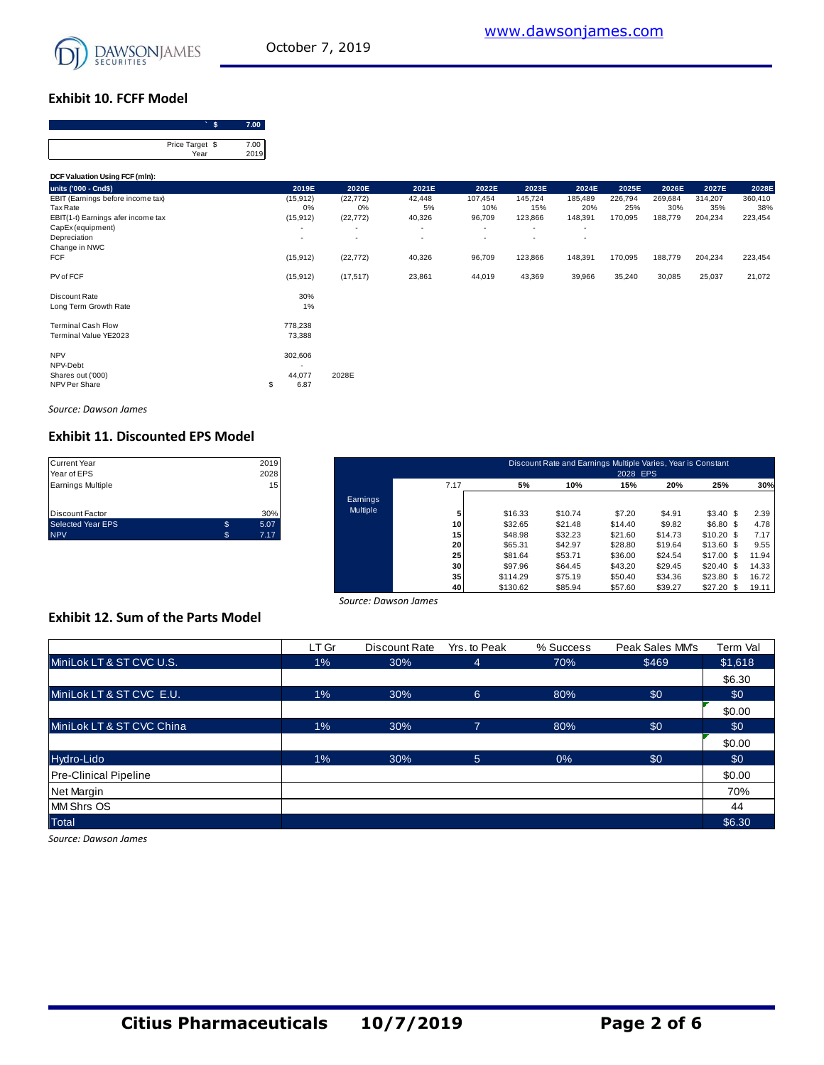

#### **Exhibit 10. FCFF Model**

| . .             |      |
|-----------------|------|
|                 |      |
| Price Target \$ | 7.00 |
| Year            | 2019 |

| Price Target \$<br>Year                                                             | 7.00<br>2019 |                                                       |                              |                        |                               |                           |                               |                           |                           |                           |                           |
|-------------------------------------------------------------------------------------|--------------|-------------------------------------------------------|------------------------------|------------------------|-------------------------------|---------------------------|-------------------------------|---------------------------|---------------------------|---------------------------|---------------------------|
| DCF Valuation Using FCF (mln):                                                      |              |                                                       |                              |                        |                               |                           |                               |                           |                           |                           |                           |
| units ('000 - Cnd\$)                                                                |              | 2019E                                                 | 2020E                        | 2021E                  | 2022E                         | 2023E                     | 2024E                         | 2025E                     | 2026E                     | 2027E                     | 2028E                     |
| EBIT (Earnings before income tax)<br>Tax Rate<br>EBIT(1-t) Earnings afer income tax |              | (15, 912)<br>0%<br>(15, 912)                          | (22, 772)<br>0%<br>(22, 772) | 42,448<br>5%<br>40,326 | 107,454<br>10%<br>96,709      | 145,724<br>15%<br>123,866 | 185,489<br>20%<br>148,391     | 226,794<br>25%<br>170,095 | 269,684<br>30%<br>188,779 | 314,207<br>35%<br>204,234 | 360,410<br>38%<br>223,454 |
| CapEx (equipment)<br>Depreciation<br>Change in NWC                                  |              | ٠<br>$\overline{\phantom{a}}$                         |                              | ٠<br>٠                 | ٠<br>$\overline{\phantom{a}}$ | ٠<br>٠                    | ٠<br>$\overline{\phantom{a}}$ |                           |                           |                           |                           |
| FCF                                                                                 |              | (15, 912)                                             | (22, 772)                    | 40,326                 | 96,709                        | 123,866                   | 148,391                       | 170,095                   | 188,779                   | 204,234                   | 223,454                   |
| PV of FCF                                                                           |              | (15, 912)                                             | (17, 517)                    | 23,861                 | 44,019                        | 43,369                    | 39,966                        | 35,240                    | 30,085                    | 25,037                    | 21,072                    |
| Discount Rate<br>Long Term Growth Rate                                              |              | 30%<br>1%                                             |                              |                        |                               |                           |                               |                           |                           |                           |                           |
| <b>Terminal Cash Flow</b><br>Terminal Value YE2023                                  |              | 778,238<br>73,388                                     |                              |                        |                               |                           |                               |                           |                           |                           |                           |
| <b>NPV</b><br>NPV-Debt<br>Shares out ('000)<br>NPV Per Share                        | \$           | 302,606<br>$\overline{\phantom{a}}$<br>44,077<br>6.87 | 2028E                        |                        |                               |                           |                               |                           |                           |                           |                           |

*Source: Dawson James*

# **Exhibit 11. Discounted EPS Model**

| <b>Current Year</b>    |   | 2019 |
|------------------------|---|------|
| Year of EPS            |   | 2028 |
| Earnings Multiple      |   | 15   |
|                        |   |      |
|                        |   |      |
| <b>Discount Factor</b> |   | 30%  |
| Selected Year EPS      | S | 5.07 |
| <b>NPV</b>             | S | 7.17 |

| Current Year      |    | 2019            |          |      |          | Discount Rate and Earnings Multiple Varies, Year is Constant |          |         |                 |       |
|-------------------|----|-----------------|----------|------|----------|--------------------------------------------------------------|----------|---------|-----------------|-------|
| Year of EPS       |    | 2028            |          |      |          |                                                              | 2028 EPS |         |                 |       |
| Earnings Multiple |    | 15 <sub>1</sub> |          | 7.17 | 5%       | 10%                                                          | 15%      | 20%     | 25%             | 30%   |
|                   |    |                 | Earnings |      |          |                                                              |          |         |                 |       |
| Discount Factor   |    | 30%             | Multiple |      | \$16.33  | \$10.74                                                      | \$7.20   | \$4.91  | \$3.40\$        | 2.39  |
| Selected Year EPS | \$ | 5.07            |          | 10   | \$32.65  | \$21.48                                                      | \$14.40  | \$9.82  | \$6.80 \$       | 4.78  |
| <b>NPV</b>        | s. | 7.17            |          | 15   | \$48.98  | \$32.23                                                      | \$21.60  | \$14.73 | $$10.20$ \$     | 7.17  |
|                   |    |                 |          | 20   | \$65.31  | \$42.97                                                      | \$28.80  | \$19.64 | $$13.60$ \$     | 9.55  |
|                   |    |                 |          | 25   | \$81.64  | \$53.71                                                      | \$36.00  | \$24.54 | $$17.00$ \$     | 11.94 |
|                   |    |                 |          | 30   | \$97.96  | \$64.45                                                      | \$43.20  | \$29.45 | $$20.40$ \$     | 14.33 |
|                   |    |                 |          | 35   | \$114.29 | \$75.19                                                      | \$50.40  | \$34.36 | \$23.80<br>- \$ | 16.72 |
|                   |    |                 |          | 40   | \$130.62 | \$85.94                                                      | \$57.60  | \$39.27 | $$27.20$ \$     | 19.11 |

#### **Exhibit 12. Sum of the Parts Model**

|                                           |       | Source: Dawson James |                |           |                 |          |
|-------------------------------------------|-------|----------------------|----------------|-----------|-----------------|----------|
| <b>Exhibit 12. Sum of the Parts Model</b> |       |                      |                |           |                 |          |
|                                           | LT Gr | Discount Rate        | Yrs. to Peak   | % Success | Peak Sales MM's | Term Val |
| MiniLok LT & ST CVC U.S.                  | $1\%$ | 30%                  | 4              | 70%       | \$469           | \$1,618  |
|                                           |       |                      |                |           |                 | \$6.30   |
| MiniLok LT & ST CVC E.U.                  | $1\%$ | 30%                  | $6^{\circ}$    | 80%       | \$0             | \$0      |
|                                           |       |                      |                |           |                 | \$0.00   |
| MiniLok LT & ST CVC China                 | $1\%$ | 30%                  | $\overline{7}$ | 80%       | \$0             | \$0      |
|                                           |       |                      |                |           |                 | \$0.00   |
| Hydro-Lido                                | $1\%$ | 30%                  | 5 <sup>5</sup> | 0%        | \$0             | \$0      |
| <b>Pre-Clinical Pipeline</b>              |       |                      |                |           |                 | \$0.00   |
| <b>Net Margin</b>                         |       |                      |                |           |                 | 70%      |
| <b>MM Shrs OS</b>                         |       |                      |                |           |                 | 44       |
| <b>Total</b>                              |       |                      |                |           |                 | \$6.30   |

*Source: Dawson James*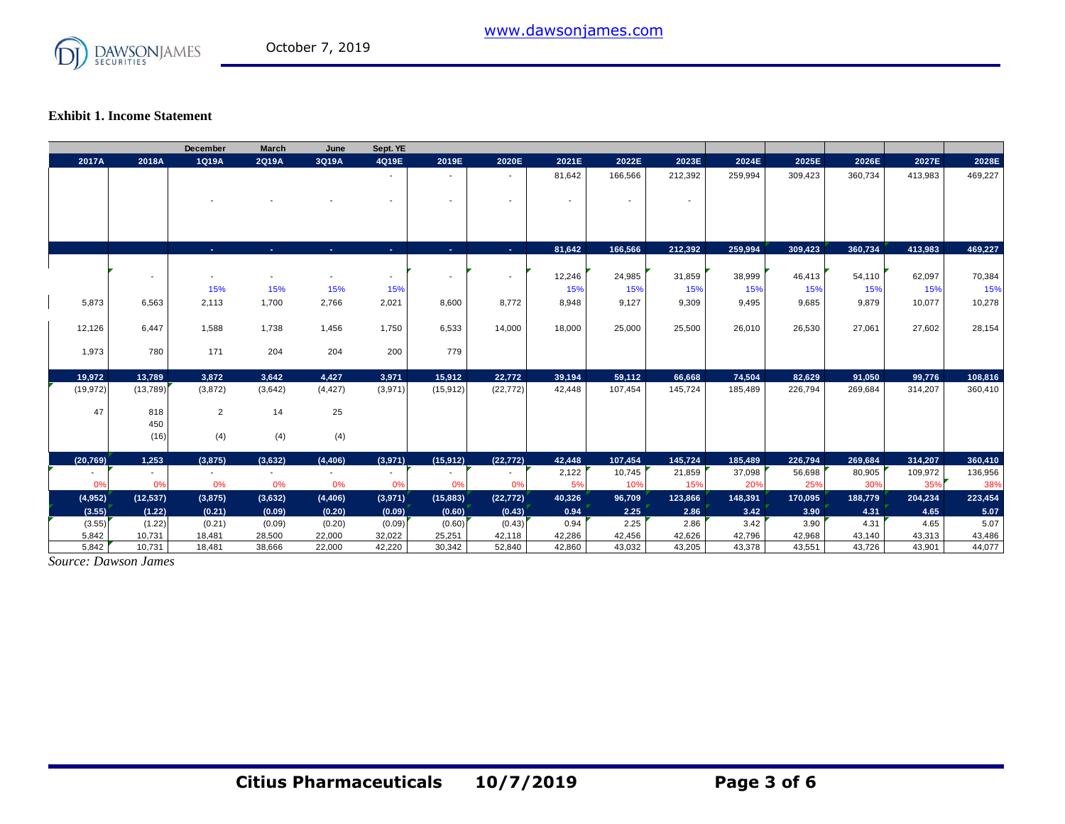

#### **Exhibit 1. Income Statement**

|           |                | <b>December</b>          | <b>March</b>             | June                     | Sept. YE |                          |                          |                          |                |                          |         |         |         |         |         |
|-----------|----------------|--------------------------|--------------------------|--------------------------|----------|--------------------------|--------------------------|--------------------------|----------------|--------------------------|---------|---------|---------|---------|---------|
| 2017A     | 2018A          | 1Q19A                    | 2Q19A                    | 3Q19A                    | 4Q19E    | 2019E                    | 2020E                    | 2021E                    | 2022E          | 2023E                    | 2024E   | 2025E   | 2026E   | 2027E   | 2028E   |
|           |                |                          |                          |                          | $\sim$   | $\overline{\phantom{a}}$ | $\sim$                   | 81,642                   | 166,566        | 212,392                  | 259,994 | 309,423 | 360,734 | 413,983 | 469,227 |
|           |                |                          |                          |                          |          |                          |                          |                          |                |                          |         |         |         |         |         |
|           |                |                          |                          |                          |          | $\blacksquare$           | $\overline{\phantom{a}}$ | $\overline{\phantom{0}}$ | $\blacksquare$ | $\overline{\phantom{a}}$ |         |         |         |         |         |
|           |                |                          |                          |                          |          |                          |                          |                          |                |                          |         |         |         |         |         |
|           |                |                          |                          |                          |          |                          |                          |                          |                |                          |         |         |         |         |         |
|           |                |                          |                          |                          |          |                          |                          |                          |                |                          |         |         |         |         |         |
|           |                | A.                       | ж.                       | $\sim$                   | х.       | х.                       | <b>Section</b>           | 81,642                   | 166,566        | 212,392                  | 259,994 | 309,423 | 360,734 | 413,983 | 469,227 |
|           |                |                          |                          |                          |          |                          |                          |                          |                |                          |         |         |         |         |         |
|           | $\blacksquare$ | $\overline{\phantom{a}}$ |                          |                          | $\sim$   | $\overline{\phantom{a}}$ | $\overline{\phantom{a}}$ | 12,246                   | 24,985         | 31,859                   | 38,999  | 46,413  | 54,110  | 62,097  | 70,384  |
|           |                | 15%                      | 15%                      | 15%                      | 15%      |                          |                          | 15%                      | 15%            | 15%                      | 15%     | 15%     | 15%     | 15%     | 15%     |
| 5,873     | 6,563          | 2,113                    | 1,700                    | 2,766                    | 2,021    | 8,600                    | 8,772                    | 8,948                    | 9,127          | 9,309                    | 9,495   | 9,685   | 9,879   | 10,077  | 10,278  |
|           |                |                          |                          |                          |          |                          |                          |                          |                |                          |         |         |         |         |         |
| 12,126    | 6,447          | 1,588                    | 1,738                    | 1,456                    | 1,750    | 6,533                    | 14,000                   | 18,000                   | 25,000         | 25,500                   | 26,010  | 26,530  | 27,061  | 27,602  | 28,154  |
| 1,973     | 780            | 171                      | 204                      | 204                      | 200      | 779                      |                          |                          |                |                          |         |         |         |         |         |
|           |                |                          |                          |                          |          |                          |                          |                          |                |                          |         |         |         |         |         |
| 19,972    | 13,789         | 3,872                    | 3,642                    | 4,427                    | 3,971    | 15,912                   | 22,772                   | 39,194                   | 59,112         | 66,668                   | 74,504  | 82,629  | 91,050  | 99,776  | 108,816 |
| (19, 972) | (13,789)       | (3,872)                  | (3,642)                  | (4, 427)                 | (3,971)  | (15, 912)                | (22, 772)                | 42,448                   | 107,454        | 145,724                  | 185,489 | 226,794 | 269,684 | 314,207 | 360,410 |
|           |                |                          |                          |                          |          |                          |                          |                          |                |                          |         |         |         |         |         |
| 47        | 818            | $\overline{2}$           | 14                       | 25                       |          |                          |                          |                          |                |                          |         |         |         |         |         |
|           | 450            |                          |                          |                          |          |                          |                          |                          |                |                          |         |         |         |         |         |
|           | (16)           | (4)                      | (4)                      | (4)                      |          |                          |                          |                          |                |                          |         |         |         |         |         |
| (20, 769) | 1,253          | (3,875)                  | (3,632)                  | (4, 406)                 | (3,971)  | (15, 912)                | (22, 772)                | 42,448                   | 107,454        | 145,724                  | 185,489 | 226,794 | 269,684 | 314,207 | 360,410 |
|           | $\sim$         | $\sim$                   | $\overline{\phantom{a}}$ | $\overline{\phantom{a}}$ | $\sim$   | $\overline{\phantom{a}}$ | $\overline{\phantom{a}}$ | 2,122                    | 10,745         | 21,859                   | 37,098  | 56,698  | 80,905  | 109,972 | 136,956 |
| 0%        | 0%             | 0%                       | 0%                       | 0%                       | 0%       | 0%                       | 0%                       | 5%                       | 10%            | 15%                      | 20%     | 25%     | 30%     | 35%     | 38%     |
| (4, 952)  | (12, 537)      | (3,875)                  | (3,632)                  | (4, 406)                 | (3,971)  | (15, 883)                | (22, 772)                | 40,326                   | 96,709         | 123,866                  | 148,391 | 170,095 | 188,779 | 204,234 | 223,454 |
| (3.55)    | (1.22)         | (0.21)                   | (0.09)                   | (0.20)                   | (0.09)   | (0.60)                   | (0.43)                   | 0.94                     | 2.25           | 2.86                     | 3.42    | 3.90    | 4.31    | 4.65    | 5.07    |
| (3.55)    | (1.22)         | (0.21)                   | (0.09)                   | (0.20)                   | (0.09)   | (0.60)                   | (0.43)                   | 0.94                     | 2.25           | 2.86                     | 3.42    | 3.90    | 4.31    | 4.65    | 5.07    |
| 5,842     | 10,731         | 18,481                   | 28,500                   | 22,000                   | 32,022   | 25,251                   | 42,118                   | 42,286                   | 42,456         | 42,626                   | 42,796  | 42,968  | 43,140  | 43,313  | 43,486  |
| 5.842     | 10.731         | 18,481                   | 38.666                   | 22,000                   | 42,220   | 30.342                   | 52.840                   | 42.860                   | 43.032         | 43.205                   | 43.378  | 43.551  | 43.726  | 43.901  | 44,077  |

*Source: Dawson James*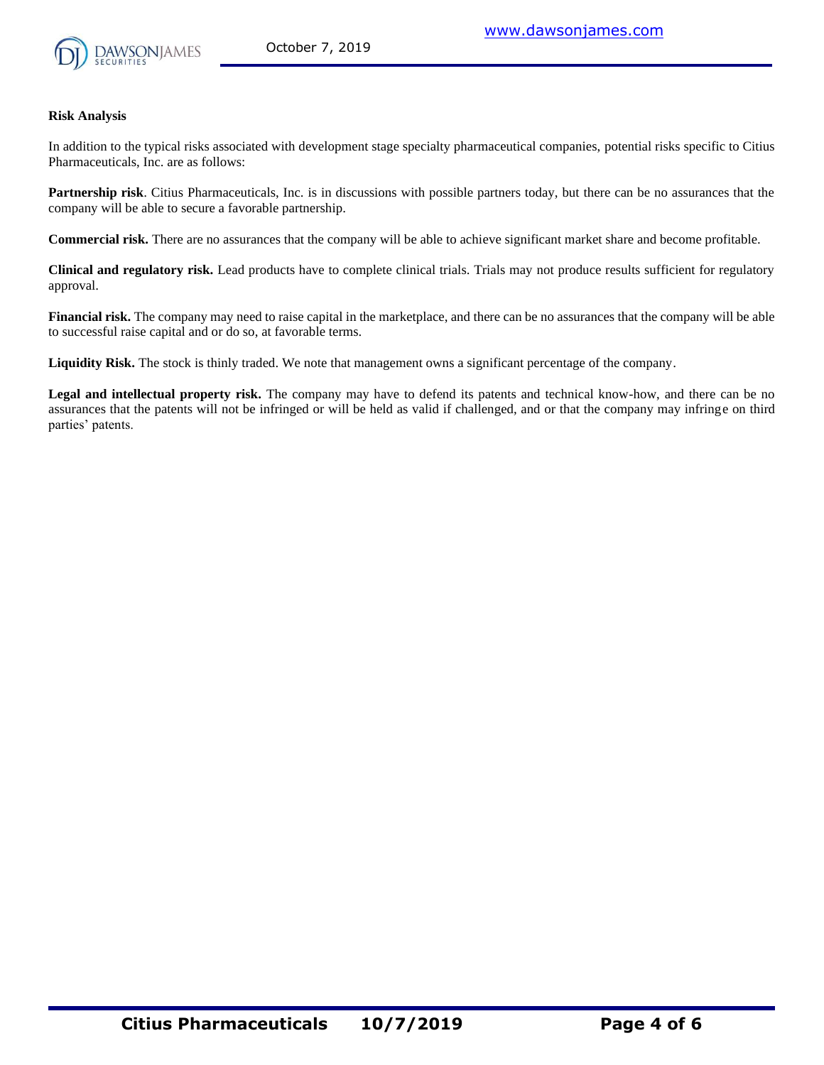

#### **Risk Analysis**

In addition to the typical risks associated with development stage specialty pharmaceutical companies, potential risks specific to Citius Pharmaceuticals, Inc. are as follows:

**Partnership risk**. Citius Pharmaceuticals, Inc. is in discussions with possible partners today, but there can be no assurances that the company will be able to secure a favorable partnership.

**Commercial risk.** There are no assurances that the company will be able to achieve significant market share and become profitable.

**Clinical and regulatory risk.** Lead products have to complete clinical trials. Trials may not produce results sufficient for regulatory approval.

**Financial risk.** The company may need to raise capital in the marketplace, and there can be no assurances that the company will be able to successful raise capital and or do so, at favorable terms.

**Liquidity Risk.** The stock is thinly traded. We note that management owns a significant percentage of the company.

**Legal and intellectual property risk.** The company may have to defend its patents and technical know-how, and there can be no assurances that the patents will not be infringed or will be held as valid if challenged, and or that the company may infringe on third parties' patents.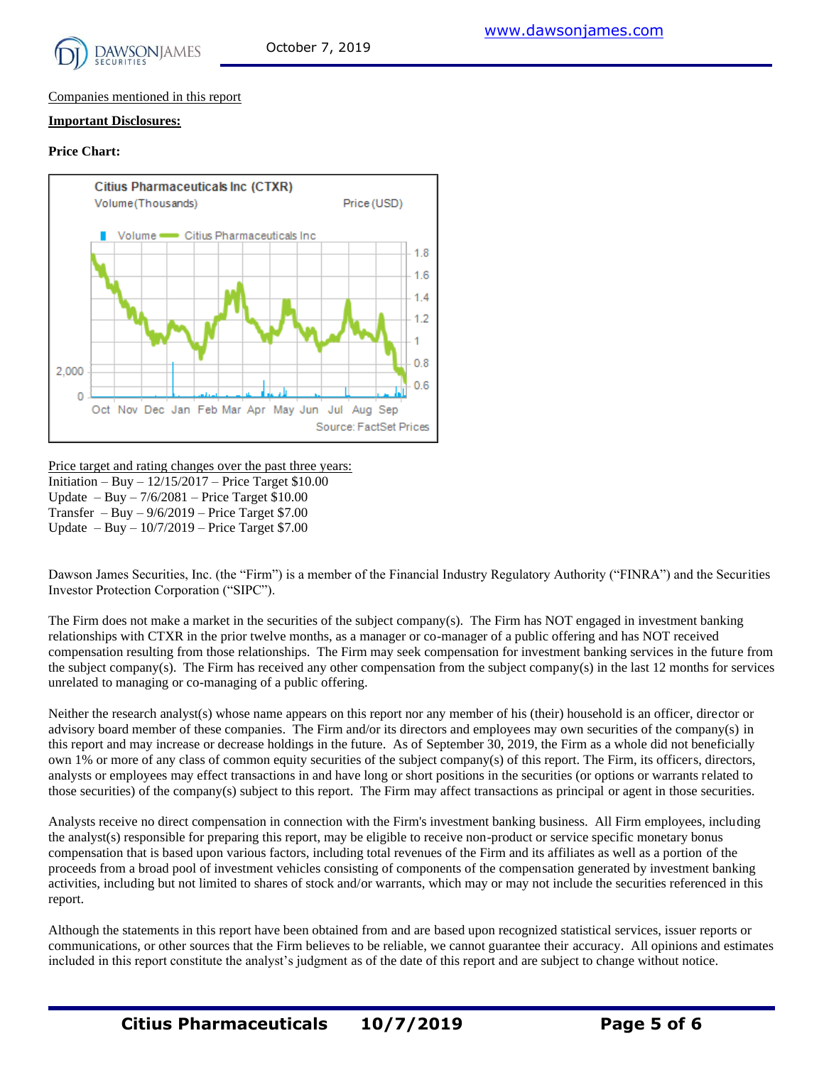

#### Companies mentioned in this report

#### **Important Disclosures:**

#### **Price Chart:**



Price target and rating changes over the past three years: Initiation – Buy – 12/15/2017 – Price Target \$10.00 Update – Buy – 7/6/2081 – Price Target \$10.00 Transfer – Buy –  $9/6/2019$  – Price Target \$7.00 Update – Buy – 10/7/2019 – Price Target \$7.00

Dawson James Securities, Inc. (the "Firm") is a member of the Financial Industry Regulatory Authority ("FINRA") and the Securities Investor Protection Corporation ("SIPC").

The Firm does not make a market in the securities of the subject company(s). The Firm has NOT engaged in investment banking relationships with CTXR in the prior twelve months, as a manager or co-manager of a public offering and has NOT received compensation resulting from those relationships. The Firm may seek compensation for investment banking services in the future from the subject company(s). The Firm has received any other compensation from the subject company(s) in the last 12 months for services unrelated to managing or co-managing of a public offering.

Neither the research analyst(s) whose name appears on this report nor any member of his (their) household is an officer, director or advisory board member of these companies. The Firm and/or its directors and employees may own securities of the company(s) in this report and may increase or decrease holdings in the future. As of September 30, 2019, the Firm as a whole did not beneficially own 1% or more of any class of common equity securities of the subject company(s) of this report. The Firm, its officers, directors, analysts or employees may effect transactions in and have long or short positions in the securities (or options or warrants related to those securities) of the company(s) subject to this report. The Firm may affect transactions as principal or agent in those securities.

Analysts receive no direct compensation in connection with the Firm's investment banking business. All Firm employees, including the analyst(s) responsible for preparing this report, may be eligible to receive non-product or service specific monetary bonus compensation that is based upon various factors, including total revenues of the Firm and its affiliates as well as a portion of the proceeds from a broad pool of investment vehicles consisting of components of the compensation generated by investment banking activities, including but not limited to shares of stock and/or warrants, which may or may not include the securities referenced in this report.

Although the statements in this report have been obtained from and are based upon recognized statistical services, issuer reports or communications, or other sources that the Firm believes to be reliable, we cannot guarantee their accuracy. All opinions and estimates included in this report constitute the analyst's judgment as of the date of this report and are subject to change without notice.